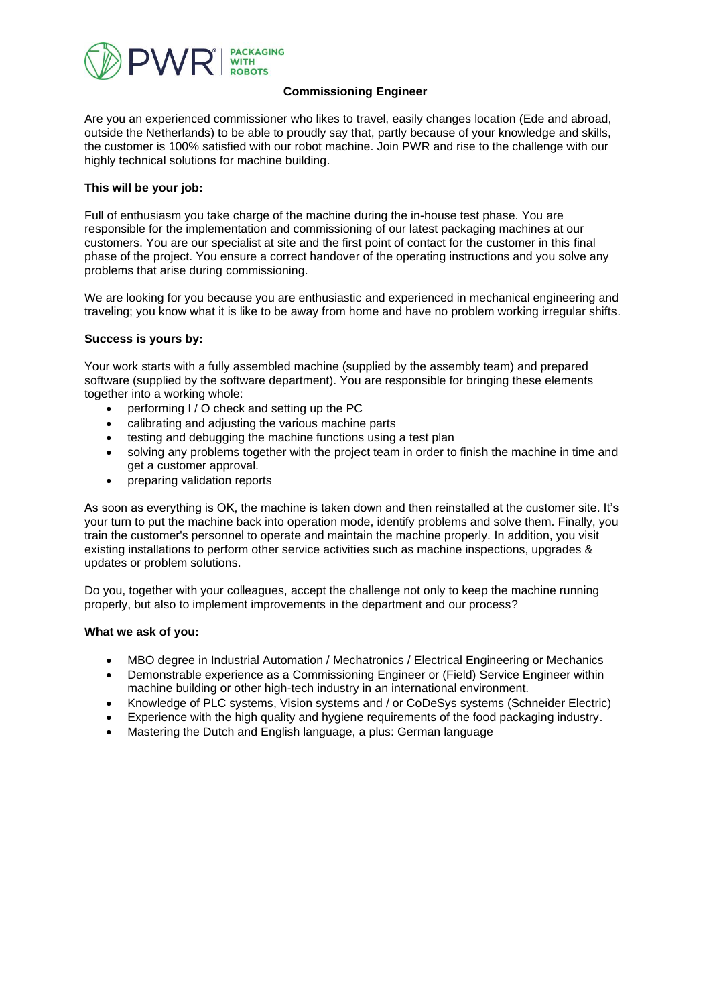

# **Commissioning Engineer**

Are you an experienced commissioner who likes to travel, easily changes location (Ede and abroad, outside the Netherlands) to be able to proudly say that, partly because of your knowledge and skills, the customer is 100% satisfied with our robot machine. Join PWR and rise to the challenge with our highly technical solutions for machine building.

#### **This will be your job:**

Full of enthusiasm you take charge of the machine during the in-house test phase. You are responsible for the implementation and commissioning of our latest packaging machines at our customers. You are our specialist at site and the first point of contact for the customer in this final phase of the project. You ensure a correct handover of the operating instructions and you solve any problems that arise during commissioning.

We are looking for you because you are enthusiastic and experienced in mechanical engineering and traveling; you know what it is like to be away from home and have no problem working irregular shifts.

## **Success is yours by:**

Your work starts with a fully assembled machine (supplied by the assembly team) and prepared software (supplied by the software department). You are responsible for bringing these elements together into a working whole:

- performing I / O check and setting up the PC
- calibrating and adjusting the various machine parts
- testing and debugging the machine functions using a test plan
- solving any problems together with the project team in order to finish the machine in time and get a customer approval.
- preparing validation reports

As soon as everything is OK, the machine is taken down and then reinstalled at the customer site. It's your turn to put the machine back into operation mode, identify problems and solve them. Finally, you train the customer's personnel to operate and maintain the machine properly. In addition, you visit existing installations to perform other service activities such as machine inspections, upgrades & updates or problem solutions.

Do you, together with your colleagues, accept the challenge not only to keep the machine running properly, but also to implement improvements in the department and our process?

#### **What we ask of you:**

- MBO degree in Industrial Automation / Mechatronics / Electrical Engineering or Mechanics
- Demonstrable experience as a Commissioning Engineer or (Field) Service Engineer within machine building or other high-tech industry in an international environment.
- Knowledge of PLC systems, Vision systems and / or CoDeSys systems (Schneider Electric)
- Experience with the high quality and hygiene requirements of the food packaging industry.
- Mastering the Dutch and English language, a plus: German language